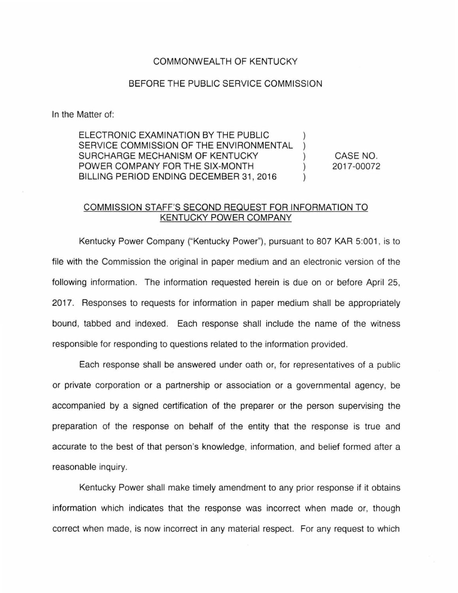## COMMONWEALTH OF KENTUCKY

## BEFORE THE PUBLIC SERVICE COMMISSION

In the Matter of:

ELECTRONIC EXAMINATION BY THE PUBLIC SERVICE COMMISSION OF THE ENVIRONMENTAL SURCHARGE MECHANISM OF KENTUCKY POWER COMPANY FOR THE SIX-MONTH BILLING PERIOD ENDING DECEMBER 31, 2016 CASE NO. 2017-00072

## COMMISSION STAFF'S SECOND REQUEST FOR INFORMATION TO KENTUCKY POWER COMPANY

Kentucky Power Company ("Kentucky Power"), pursuant to 807 KAR 5:001 , is to file with the Commission the original in paper medium and an electronic version of the following information. The information requested herein is due on or before April 25, 2017. Responses to requests for information in paper medium shall be appropriately bound, tabbed and indexed. Each response shall include the name of the witness responsible for responding to questions related to the information provided.

Each response shall be answered under oath or, for representatives of a public or private corporation or a partnership or association or a governmental agency, be accompanied by a signed certification of the preparer or the person supervising the preparation of the response on behalf of the entity that the response is true and accurate to the best of that person's knowledge, information, and belief formed after a reasonable inquiry.

Kentucky Power shall make timely amendment to any prior response if it obtains information which indicates that the response was incorrect when made or, though correct when made, is now incorrect in any material respect. For any request to which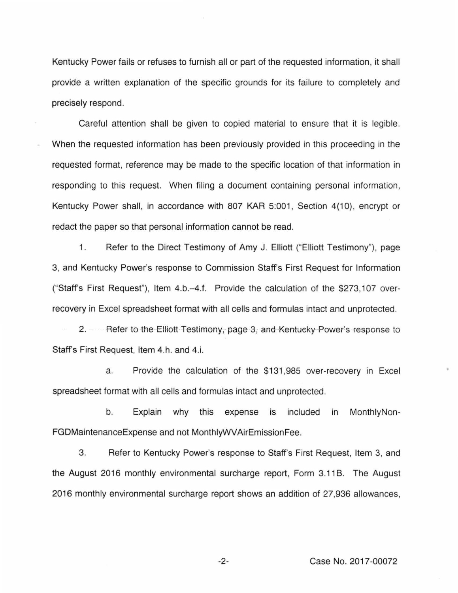Kentucky Power fails or refuses to furnish all or part of the requested information, it shall provide a written explanation of the specific grounds for its failure to completely and precisely respond.

Careful attention shall be given to copied material to ensure that it is legible. When the requested information has been previously provided in this proceeding in the requested format, reference may be made to the specific location of that information in responding to this request. When filing a document containing personal information, Kentucky Power shall, in accordance with 807 KAR 5:001, Section 4(10), encrypt or redact the paper so that personal information cannot be read.

1. Refer to the Direct Testimony of Amy J. Elliott ("Elliott Testimony"), page 3 , and Kentucky Power's response to Commission Staff's First Request for Information ("Staff's First Request"), Item 4.b.-4.f. Provide the calculation of the \$273,107 overrecovery in Excel spreadsheet format with all cells and formulas intact and unprotected.

2. - Refer to the Elliott Testimony, page 3, and Kentucky Power's response to Staff's First Request, Item 4.h. and 4.i.

a. Provide the calculation of the \$131 ,985 over-recovery in Excel spreadsheet format with all cells and formulas intact and unprotected.

b. Explain why this expense is included in MonthlyNon-FGDMaintenanceExpense and not MonthlyWVAirEmissionFee.

3. Refer to Kentucky Power's response to Staff's First Request, Item 3, and the August 2016 monthly environmental surcharge report, Form 3.11B. The August 2016 monthly environmental surcharge report shows an addition of 27,936 allowances,

-2- Case No. 2017-00072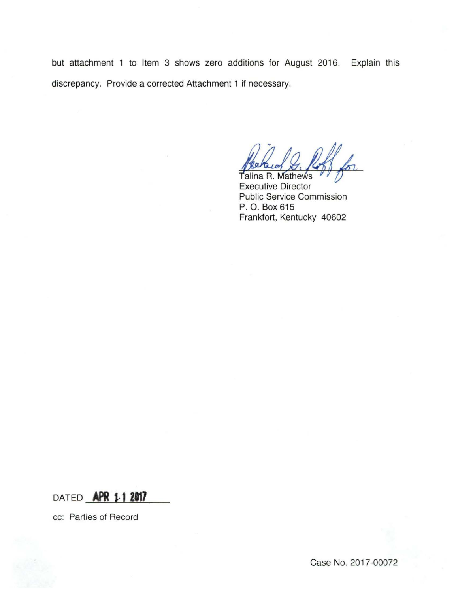but attachment 1 to Item 3 shows zero additions for August 2016. Explain this discrepancy. Provide a corrected Attachment 1 if necessary.

 $\frac{1}{2}$ 

Talina R. **Mathews** Executive Director Public Service Commission P. O. Box 615 Frankfort, Kentucky 40602

DATED **APR** 1·1 **<sup>2117</sup>**

cc: Parties of Record